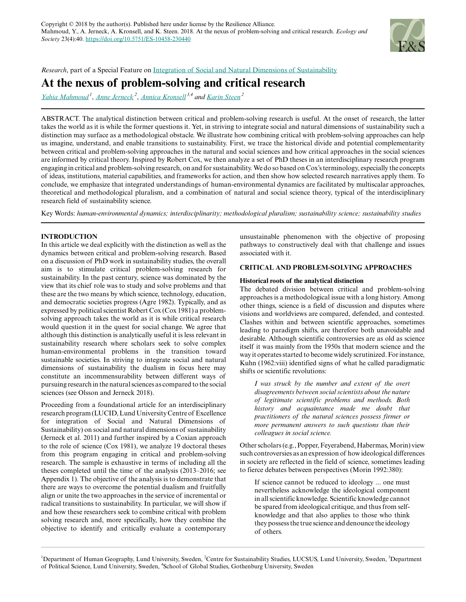

*Research*, part of a Special Feature on [Integration of Social and Natural Dimensions of Sustainability](https://www.ecologyandsociety.org/viewissue.php?sf=135)

# **At the nexus of problem-solving and critical research**

*[Yahia Mahmoud](mailto:yahia.mahmoud@keg.lu.se)<sup>1</sup>* , *[Anne Jerneck](mailto:anne.jerneck@lucsus.lu.se)<sup>2</sup>* , *[Annica Kronsell](mailto:annica.kronsell@gu.se) 3,4 and [Karin Steen](mailto:karin.steen@lucsus.lu.se)<sup>2</sup>*

ABSTRACT. The analytical distinction between critical and problem-solving research is useful. At the onset of research, the latter takes the world as it is while the former questions it. Yet, in striving to integrate social and natural dimensions of sustainability such a distinction may surface as a methodological obstacle. We illustrate how combining critical with problem-solving approaches can help us imagine, understand, and enable transitions to sustainability. First, we trace the historical divide and potential complementarity between critical and problem-solving approaches in the natural and social sciences and how critical approaches in the social sciences are informed by critical theory. Inspired by Robert Cox, we then analyze a set of PhD theses in an interdisciplinary research program engaging in critical and problem-solving research, on and for sustainability. We do so based on Cox's terminology, especially the concepts of ideas, institutions, material capabilities, and frameworks for action, and then show how selected research narratives apply them. To conclude, we emphasize that integrated understandings of human-environmental dynamics are facilitated by multiscalar approaches, theoretical and methodological pluralism, and a combination of natural and social science theory, typical of the interdisciplinary research field of sustainability science.

Key Words: *human-environmental dynamics; interdisciplinarity; methodological pluralism; sustainability science; sustainability studies*

# **INTRODUCTION**

In this article we deal explicitly with the distinction as well as the dynamics between critical and problem-solving research. Based on a discussion of PhD work in sustainability studies, the overall aim is to stimulate critical problem-solving research for sustainability. In the past century, science was dominated by the view that its chief role was to study and solve problems and that these are the two means by which science, technology, education, and democratic societies progress (Agre 1982). Typically, and as expressed by political scientist Robert Cox (Cox 1981) a problemsolving approach takes the world as it is while critical research would question it in the quest for social change. We agree that although this distinction is analytically useful it is less relevant in sustainability research where scholars seek to solve complex human-environmental problems in the transition toward sustainable societies. In striving to integrate social and natural dimensions of sustainability the dualism in focus here may constitute an incommensurability between different ways of pursuing research in the natural sciences as compared to the social sciences (see Olsson and Jerneck 2018).

Proceeding from a foundational article for an interdisciplinary research program (LUCID, Lund University Centre of Excellence for integration of Social and Natural Dimensions of Sustainability) on social and natural dimensions of sustainability (Jerneck et al. 2011) and further inspired by a Coxian approach to the role of science (Cox 1981), we analyze 19 doctoral theses from this program engaging in critical and problem-solving research. The sample is exhaustive in terms of including all the theses completed until the time of the analysis (2013–2016; see Appendix 1). The objective of the analysis is to demonstrate that there are ways to overcome the potential dualism and fruitfully align or unite the two approaches in the service of incremental or radical transitions to sustainability. In particular, we will show if and how these researchers seek to combine critical with problem solving research and, more specifically, how they combine the objective to identify and critically evaluate a contemporary

unsustainable phenomenon with the objective of proposing pathways to constructively deal with that challenge and issues associated with it.

# **CRITICAL AND PROBLEM-SOLVING APPROACHES**

# **Historical roots of the analytical distinction**

The debated division between critical and problem-solving approaches is a methodological issue with a long history. Among other things, science is a field of discussion and disputes where visions and worldviews are compared, defended, and contested. Clashes within and between scientific approaches, sometimes leading to paradigm shifts, are therefore both unavoidable and desirable. Although scientific controversies are as old as science itself it was mainly from the 1950s that modern science and the way it operates started to become widely scrutinized. For instance, Kuhn (1962:viii) identified signs of what he called paradigmatic shifts or scientific revolutions:

*I was struck by the number and extent of the overt disagreements between social scientists about the nature of legitimate scientific problems and methods. Both history and acquaintance made me doubt that practitioners of the natural sciences possess firmer or more permanent answers to such questions than their colleagues in social science.*

Other scholars (e.g., Popper, Feyerabend, Habermas, Morin) view such controversies as an expression of how ideological differences in society are reflected in the field of science, sometimes leading to fierce debates between perspectives (Morin 1992:380):

If science cannot be reduced to ideology ... one must nevertheless acknowledge the ideological component in all scientific knowledge. Scientific knowledge cannot be spared from ideological critique, and thus from selfknowledge and that also applies to those who think they possess the true science and denounce the ideology of others.

<sup>&</sup>lt;sup>1</sup>Department of Human Geography, Lund University, Sweden, <sup>2</sup>Centre for Sustainability Studies, LUCSUS, Lund University, Sweden, <sup>3</sup>Department of Political Science, Lund University, Sweden, <sup>4</sup>School of Global Studies, Gothenburg University, Sweden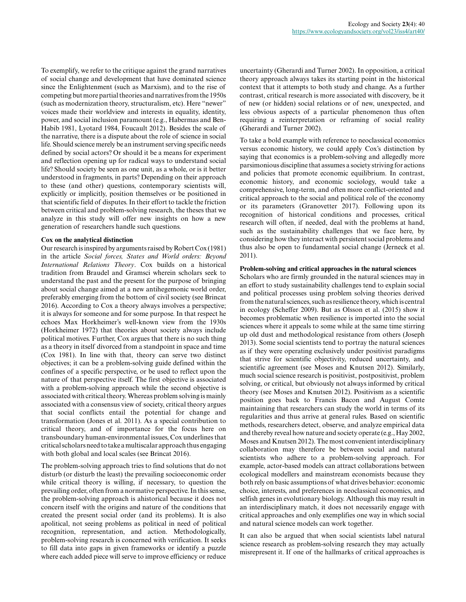To exemplify, we refer to the critique against the grand narratives of social change and development that have dominated science since the Enlightenment (such as Marxism), and to the rise of competing but more partial theories and narratives from the 1950s (such as modernization theory, structuralism, etc). Here "newer" voices made their worldview and interests in equality, identity, power, and social inclusion paramount (e.g., Habermas and Ben-Habib 1981, Lyotard 1984, Foucault 2012). Besides the scale of the narrative, there is a dispute about the role of science in social life. Should science merely be an instrument serving specific needs defined by social actors? Or should it be a means for experiment and reflection opening up for radical ways to understand social life? Should society be seen as one unit, as a whole, or is it better understood in fragments, in parts? Depending on their approach to these (and other) questions, contemporary scientists will, explicitly or implicitly, position themselves or be positioned in that scientific field of disputes. In their effort to tackle the friction between critical and problem-solving research, the theses that we analyze in this study will offer new insights on how a new generation of researchers handle such questions.

# **Cox on the analytical distinction**

Our research is inspired by arguments raised by Robert Cox (1981) in the article *Social forces, States and World orders: Beyond International Relations Theory*. Cox builds on a historical tradition from Braudel and Gramsci wherein scholars seek to understand the past and the present for the purpose of bringing about social change aimed at a new antihegemonic world order, preferably emerging from the bottom of civil society (see Brincat 2016). According to Cox a theory always involves a perspective; it is always for someone and for some purpose. In that respect he echoes Max Horkheimer's well-known view from the 1930s (Horkheimer 1972) that theories about society always include political motives. Further, Cox argues that there is no such thing as a theory in itself divorced from a standpoint in space and time (Cox 1981). In line with that, theory can serve two distinct objectives; it can be a problem-solving guide defined within the confines of a specific perspective, or be used to reflect upon the nature of that perspective itself. The first objective is associated with a problem-solving approach while the second objective is associated with critical theory. Whereas problem solving is mainly associated with a consensus view of society, critical theory argues that social conflicts entail the potential for change and transformation (Jones et al. 2011). As a special contribution to critical theory, and of importance for the focus here on transboundary human-environmental issues, Cox underlines that critical scholars need to take a multiscalar approach thus engaging with both global and local scales (see Brincat 2016).

The problem-solving approach tries to find solutions that do not disturb (or disturb the least) the prevailing socioeconomic order while critical theory is willing, if necessary, to question the prevailing order, often from a normative perspective. In this sense, the problem-solving approach is ahistorical because it does not concern itself with the origins and nature of the conditions that created the present social order (and its problems). It is also apolitical, not seeing problems as political in need of political recognition, representation, and action. Methodologically, problem-solving research is concerned with verification. It seeks to fill data into gaps in given frameworks or identify a puzzle where each added piece will serve to improve efficiency or reduce

uncertainty (Gherardi and Turner 2002). In opposition, a critical theory approach always takes its starting point in the historical context that it attempts to both study and change. As a further contrast, critical research is more associated with discovery, be it of new (or hidden) social relations or of new, unexpected, and less obvious aspects of a particular phenomenon thus often requiring a reinterpretation or reframing of social reality (Gherardi and Turner 2002).

To take a bold example with reference to neoclassical economics versus economic history, we could apply Cox's distinction by saying that economics is a problem-solving and allegedly more parsimonious discipline that assumes a society striving for actions and policies that promote economic equilibrium. In contrast, economic history, and economic sociology, would take a comprehensive, long-term, and often more conflict-oriented and critical approach to the social and political role of the economy or its parameters (Granovetter 2017). Following upon its recognition of historical conditions and processes, critical research will often, if needed, deal with the problems at hand, such as the sustainability challenges that we face here, by considering how they interact with persistent social problems and thus also be open to fundamental social change (Jerneck et al. 2011).

# **Problem-solving and critical approaches in the natural sciences**

Scholars who are firmly grounded in the natural sciences may in an effort to study sustainability challenges tend to explain social and political processes using problem solving theories derived from the natural sciences, such as resilience theory, which is central in ecology (Scheffer 2009). But as Olsson et al. (2015) show it becomes problematic when resilience is imported into the social sciences where it appeals to some while at the same time stirring up old dust and methodological resistance from others (Joseph 2013). Some social scientists tend to portray the natural sciences as if they were operating exclusively under positivist paradigms that strive for scientific objectivity, reduced uncertainty, and scientific agreement (see Moses and Knutsen 2012). Similarly, much social science research is positivist, postpositivist, problem solving, or critical, but obviously not always informed by critical theory (see Moses and Knutsen 2012). Positivism as a scientific position goes back to Francis Bacon and August Comte maintaining that researchers can study the world in terms of its regularities and thus arrive at general rules. Based on scientific methods, researchers detect, observe, and analyze empirical data and thereby reveal how nature and society operate (e.g., Hay 2002, Moses and Knutsen 2012). The most convenient interdisciplinary collaboration may therefore be between social and natural scientists who adhere to a problem-solving approach. For example, actor-based models can attract collaborations between ecological modellers and mainstream economists because they both rely on basic assumptions of what drives behavior: economic choice, interests, and preferences in neoclassical economics, and selfish genes in evolutionary biology. Although this may result in an interdisciplinary match, it does not necessarily engage with critical approaches and only exemplifies one way in which social and natural science models can work together.

It can also be argued that when social scientists label natural science research as problem-solving research they may actually misrepresent it. If one of the hallmarks of critical approaches is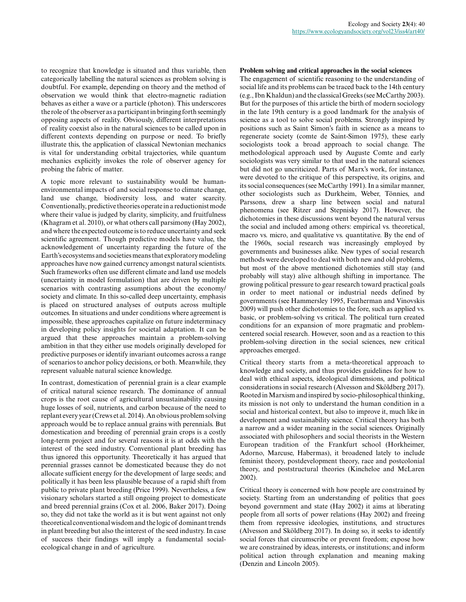to recognize that knowledge is situated and thus variable, then categorically labelling the natural sciences as problem solving is doubtful. For example, depending on theory and the method of observation we would think that electro-magnetic radiation behaves as either a wave or a particle (photon). This underscores the role of the observer as a participant in bringing forth seemingly opposing aspects of reality. Obviously, different interpretations of reality coexist also in the natural sciences to be called upon in different contexts depending on purpose or need. To briefly illustrate this, the application of classical Newtonian mechanics is vital for understanding orbital trajectories, while quantum mechanics explicitly invokes the role of observer agency for probing the fabric of matter.

A topic more relevant to sustainability would be humanenvironmental impacts of and social response to climate change, land use change, biodiversity loss, and water scarcity. Conventionally, predictive theories operate in a reductionist mode where their value is judged by clarity, simplicity, and fruitfulness (Khagram et al. 2010), or what others call parsimony (Hay 2002), and where the expected outcome is to reduce uncertainty and seek scientific agreement. Though predictive models have value, the acknowledgement of uncertainty regarding the future of the Earth's ecosystems and societies means that exploratory modeling approaches have now gained currency amongst natural scientists. Such frameworks often use different climate and land use models (uncertainty in model formulation) that are driven by multiple scenarios with contrasting assumptions about the economy/ society and climate. In this so-called deep uncertainty, emphasis is placed on structured analyses of outputs across multiple outcomes. In situations and under conditions where agreement is impossible, these approaches capitalize on future indeterminacy in developing policy insights for societal adaptation. It can be argued that these approaches maintain a problem-solving ambition in that they either use models originally developed for predictive purposes or identify invariant outcomes across a range of scenarios to anchor policy decisions, or both. Meanwhile, they represent valuable natural science knowledge.

In contrast, domestication of perennial grain is a clear example of critical natural science research. The dominance of annual crops is the root cause of agricultural unsustainability causing huge losses of soil, nutrients, and carbon because of the need to replant every year (Crews et al. 2014). An obvious problem solving approach would be to replace annual grains with perennials. But domestication and breeding of perennial grain crops is a costly long-term project and for several reasons it is at odds with the interest of the seed industry. Conventional plant breeding has thus ignored this opportunity. Theoretically it has argued that perennial grasses cannot be domesticated because they do not allocate sufficient energy for the development of large seeds; and politically it has been less plausible because of a rapid shift from public to private plant breeding (Price 1999). Nevertheless, a few visionary scholars started a still ongoing project to domesticate and breed perennial grains (Cox et al. 2006, Baker 2017). Doing so, they did not take the world as it is but went against not only theoretical conventional wisdom and the logic of dominant trends in plant breeding but also the interest of the seed industry. In case of success their findings will imply a fundamental socialecological change in and of agriculture.

### **Problem solving and critical approaches in the social sciences**

The engagement of scientific reasoning to the understanding of social life and its problems can be traced back to the 14th century (e.g., Ibn Khaldun) and the classical Greeks (see McCarthy 2003). But for the purposes of this article the birth of modern sociology in the late 19th century is a good landmark for the analysis of science as a tool to solve social problems. Strongly inspired by positions such as Saint Simon's faith in science as a means to regenerate society (comte de Saint-Simon 1975), these early sociologists took a broad approach to social change. The methodological approach used by Auguste Comte and early sociologists was very similar to that used in the natural sciences but did not go uncriticized. Parts of Marx's work, for instance, were devoted to the critique of this perspective, its origins, and its social consequences (see McCarthy 1991). In a similar manner, other sociologists such as Durkheim, Weber, Tönnies, and Parssons, drew a sharp line between social and natural phenomena (see Ritzer and Stepnisky 2017). However, the dichotomies in these discussions went beyond the natural versus the social and included among others: empirical vs. theoretical, macro vs. micro, and qualitative vs. quantitative. By the end of the 1960s, social research was increasingly employed by governments and businesses alike. New types of social research methods were developed to deal with both new and old problems, but most of the above mentioned dichotomies still stay (and probably will stay) alive although shifting in importance. The growing political pressure to gear research toward practical goals in order to meet national or industrial needs defined by governments (see Hammersley 1995, Featherman and Vinovskis 2009) will push other dichotomies to the fore, such as applied vs. basic, or problem-solving vs critical. The political turn created conditions for an expansion of more pragmatic and problemcentered social research. However, soon and as a reaction to this problem-solving direction in the social sciences, new critical approaches emerged.

Critical theory starts from a meta-theoretical approach to knowledge and society, and thus provides guidelines for how to deal with ethical aspects, ideological dimensions, and political considerations in social research (Alvesson and Sköldberg 2017). Rooted in Marxism and inspired by socio-philosophical thinking, its mission is not only to understand the human condition in a social and historical context, but also to improve it, much like in development and sustainability science. Critical theory has both a narrow and a wider meaning in the social sciences. Originally associated with philosophers and social theorists in the Western European tradition of the Frankfurt school (Horkheimer, Adorno, Marcuse, Habermas), it broadened lately to include feminist theory, postdevelopment theory, race and postcolonial theory, and poststructural theories (Kincheloe and McLaren 2002).

Critical theory is concerned with how people are constrained by society. Starting from an understanding of politics that goes beyond government and state (Hay 2002) it aims at liberating people from all sorts of power relations (Hay 2002) and freeing them from repressive ideologies, institutions, and structures (Alvesson and Sköldberg 2017). In doing so, it seeks to identify social forces that circumscribe or prevent freedom; expose how we are constrained by ideas, interests, or institutions; and inform political action through explanation and meaning making (Denzin and Lincoln 2005).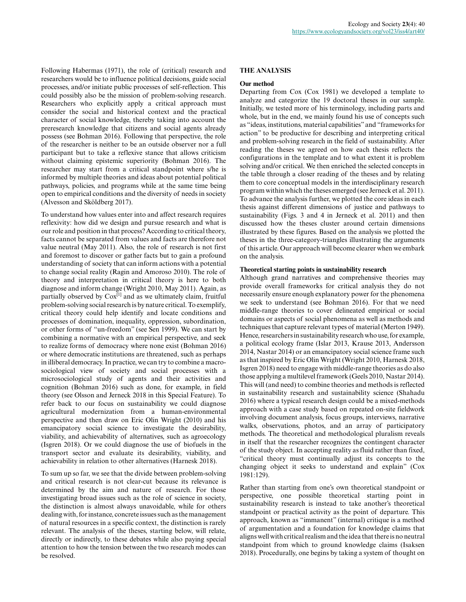Following Habermas (1971), the role of (critical) research and researchers would be to influence political decisions, guide social processes, and/or initiate public processes of self-reflection. This could possibly also be the mission of problem-solving research. Researchers who explicitly apply a critical approach must consider the social and historical context and the practical character of social knowledge, thereby taking into account the preresearch knowledge that citizens and social agents already possess (see Bohman 2016). Following that perspective, the role of the researcher is neither to be an outside observer nor a full participant but to take a reflexive stance that allows criticism without claiming epistemic superiority (Bohman 2016). The researcher may start from a critical standpoint where s/he is informed by multiple theories and ideas about potential political pathways, policies, and programs while at the same time being open to empirical conditions and the diversity of needs in society (Alvesson and Sköldberg 2017).

To understand how values enter into and affect research requires reflexivity: how did we design and pursue research and what is our role and position in that process? According to critical theory, facts cannot be separated from values and facts are therefore not value neutral (May 2011). Also, the role of research is not first and foremost to discover or gather facts but to gain a profound understanding of society that can inform actions with a potential to change social reality (Ragin and Amoroso 2010). The role of theory and interpretation in critical theory is here to both diagnose and inform change (Wright 2010, May 2011). Again, as partially observed by  $Cox^{[1]}$  and as we ultimately claim, fruitful problem-solving social research is by nature critical. To exemplify, critical theory could help identify and locate conditions and processes of domination, inequality, oppression, subordination, or other forms of "un-freedom" (see Sen 1999). We can start by combining a normative with an empirical perspective, and seek to realize forms of democracy where none exist (Bohman 2016) or where democratic institutions are threatened, such as perhaps in illiberal democracy. In practice, we can try to combine a macrosociological view of society and social processes with a microsociological study of agents and their activities and cognition (Bohman 2016) such as done, for example, in field theory (see Olsson and Jerneck 2018 in this Special Feature). To refer back to our focus on sustainability we could diagnose agricultural modernization from a human-environmental perspective and then draw on Eric Olin Wright (2010) and his emancipatory social science to investigate the desirability, viability, and achievability of alternatives, such as agroecology (Isgren 2018). Or we could diagnose the use of biofuels in the transport sector and evaluate its desirability, viability, and achievability in relation to other alternatives (Harnesk 2018).

To sum up so far, we see that the divide between problem-solving and critical research is not clear-cut because its relevance is determined by the aim and nature of research. For those investigating broad issues such as the role of science in society, the distinction is almost always unavoidable, while for others dealing with, for instance, concrete issues such as the management of natural resources in a specific context, the distinction is rarely relevant. The analysis of the theses, starting below, will relate, directly or indirectly, to these debates while also paying special attention to how the tension between the two research modes can be resolved.

# **THE ANALYSIS**

# **Our method**

Departing from Cox (Cox 1981) we developed a template to analyze and categorize the 19 doctoral theses in our sample. Initially, we tested more of his terminology, including parts and whole, but in the end, we mainly found his use of concepts such as "ideas, institutions, material capabilities" and "frameworks for action" to be productive for describing and interpreting critical and problem-solving research in the field of sustainability. After reading the theses we agreed on how each thesis reflects the configurations in the template and to what extent it is problem solving and/or critical. We then enriched the selected concepts in the table through a closer reading of the theses and by relating them to core conceptual models in the interdisciplinary research program within which the theses emerged (see Jerneck et al. 2011). To advance the analysis further, we plotted the core ideas in each thesis against different dimensions of justice and pathways to sustainability (Figs. 3 and 4 in Jerneck et al. 2011) and then discussed how the theses cluster around certain dimensions illustrated by these figures. Based on the analysis we plotted the theses in the three-category-triangles illustrating the arguments of this article. Our approach will become clearer when we embark on the analysis.

# **Theoretical starting points in sustainability research**

Although grand narratives and comprehensive theories may provide overall frameworks for critical analysis they do not necessarily ensure enough explanatory power for the phenomena we seek to understand (see Bohman 2016). For that we need middle-range theories to cover delineated empirical or social domains or aspects of social phenomena as well as methods and techniques that capture relevant types of material (Merton 1949). Hence, researchers in sustainability research who use, for example, a political ecology frame (Islar 2013, Krause 2013, Andersson 2014, Nastar 2014) or an emancipatory social science frame such as that inspired by Eric Olin Wright (Wright 2010, Harnesk 2018, Isgren 2018) need to engage with middle-range theories as do also those applying a multilevel framework (Geels 2010, Nastar 2014). This will (and need) to combine theories and methods is reflected in sustainability research and sustainability science (Shahadu 2016) where a typical research design could be a mixed-methods approach with a case study based on repeated on-site fieldwork involving document analysis, focus groups, interviews, narrative walks, observations, photos, and an array of participatory methods. The theoretical and methodological pluralism reveals in itself that the researcher recognizes the contingent character of the study object. In accepting reality as fluid rather than fixed, "critical theory must continually adjust its concepts to the changing object it seeks to understand and explain" (Cox 1981:129).

Rather than starting from one's own theoretical standpoint or perspective, one possible theoretical starting point in sustainability research is instead to take another's theoretical standpoint or practical activity as the point of departure. This approach, known as "immanent" (internal) critique is a method of argumentation and a foundation for knowledge claims that aligns well with critical realism and the idea that there is no neutral standpoint from which to ground knowledge claims (Isaksen 2018). Procedurally, one begins by taking a system of thought on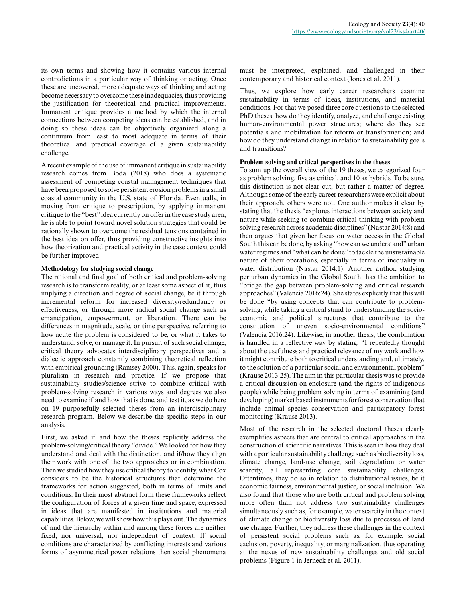its own terms and showing how it contains various internal contradictions in a particular way of thinking or acting. Once these are uncovered, more adequate ways of thinking and acting become necessary to overcome these inadequacies, thus providing the justification for theoretical and practical improvements. Immanent critique provides a method by which the internal connections between competing ideas can be established, and in doing so these ideas can be objectively organized along a continuum from least to most adequate in terms of their theoretical and practical coverage of a given sustainability challenge.

A recent example of the use of immanent critique in sustainability research comes from Boda (2018) who does a systematic assessment of competing coastal management techniques that have been proposed to solve persistent erosion problems in a small coastal community in the U.S. state of Florida. Eventually, in moving from critique to prescription, by applying immanent critique to the "best" idea currently on offer in the case study area, he is able to point toward novel solution strategies that could be rationally shown to overcome the residual tensions contained in the best idea on offer, thus providing constructive insights into how theorization and practical activity in the case context could be further improved.

# **Methodology for studying social change**

The rational and final goal of both critical and problem-solving research is to transform reality, or at least some aspect of it, thus implying a direction and degree of social change, be it through incremental reform for increased diversity/redundancy or effectiveness, or through more radical social change such as emancipation, empowerment, or liberation. There can be differences in magnitude, scale, or time perspective, referring to how acute the problem is considered to be, or what it takes to understand, solve, or manage it. In pursuit of such social change, critical theory advocates interdisciplinary perspectives and a dialectic approach constantly combining theoretical reflection with empirical grounding (Ramsey 2000). This, again, speaks for pluralism in research and practice. If we propose that sustainability studies/science strive to combine critical with problem-solving research in various ways and degrees we also need to examine if and how that is done, and test it, as we do here on 19 purposefully selected theses from an interdisciplinary research program. Below we describe the specific steps in our analysis.

First, we asked if and how the theses explicitly address the problem-solving/critical theory "divide." We looked for how they understand and deal with the distinction, and if/how they align their work with one of the two approaches or in combination. Then we studied how they use critical theory to identify, what Cox considers to be the historical structures that determine the frameworks for action suggested, both in terms of limits and conditions. In their most abstract form these frameworks reflect the configuration of forces at a given time and space, expressed in ideas that are manifested in institutions and material capabilities. Below, we will show how this plays out. The dynamics of and the hierarchy within and among these forces are neither fixed, nor universal, nor independent of context. If social conditions are characterized by conflicting interests and various forms of asymmetrical power relations then social phenomena

must be interpreted, explained, and challenged in their contemporary and historical context (Jones et al. 2011).

Thus, we explore how early career researchers examine sustainability in terms of ideas, institutions, and material conditions. For that we posed three core questions to the selected PhD theses: how do they identify, analyze, and challenge existing human-environmental power structures; where do they see potentials and mobilization for reform or transformation; and how do they understand change in relation to sustainability goals and transitions?

### **Problem solving and critical perspectives in the theses**

To sum up the overall view of the 19 theses, we categorized four as problem solving, five as critical, and 10 as hybrids. To be sure, this distinction is not clear cut, but rather a matter of degree. Although some of the early career researchers were explicit about their approach, others were not. One author makes it clear by stating that the thesis "explores interactions between society and nature while seeking to combine critical thinking with problem solving research across academic disciplines" (Nastar 2014:8) and then argues that given her focus on water access in the Global South this can be done, by asking "how can we understand" urban water regimes and "what can be done" to tackle the unsustainable nature of their operations, especially in terms of inequality in water distribution (Nastar 2014:1). Another author, studying periurban dynamics in the Global South, has the ambition to "bridge the gap between problem-solving and critical research approaches" (Valencia 2016:24). She states explicitly that this will be done "by using concepts that can contribute to problemsolving, while taking a critical stand to understanding the socioeconomic and political structures that contribute to the constitution of uneven socio-environmental conditions" (Valencia 2016:24). Likewise, in another thesis, the combination is handled in a reflective way by stating: "I repeatedly thought about the usefulness and practical relevance of my work and how it might contribute both to critical understanding and, ultimately, to the solution of a particular social and environmental problem" (Krause 2013:25). The aim in this particular thesis was to provide a critical discussion on enclosure (and the rights of indigenous people) while being problem solving in terms of examining (and developing) market based instruments for forest conservation that include animal species conservation and participatory forest monitoring (Krause 2013).

Most of the research in the selected doctoral theses clearly exemplifies aspects that are central to critical approaches in the construction of scientific narratives. This is seen in how they deal with a particular sustainability challenge such as biodiversity loss, climate change, land-use change, soil degradation or water scarcity, all representing core sustainability challenges. Oftentimes, they do so in relation to distributional issues, be it economic fairness, environmental justice, or social inclusion. We also found that those who are both critical and problem solving more often than not address two sustainability challenges simultaneously such as, for example, water scarcity in the context of climate change or biodiversity loss due to processes of land use change. Further, they address these challenges in the context of persistent social problems such as, for example, social exclusion, poverty, inequality, or marginalization, thus operating at the nexus of new sustainability challenges and old social problems (Figure 1 in Jerneck et al. 2011).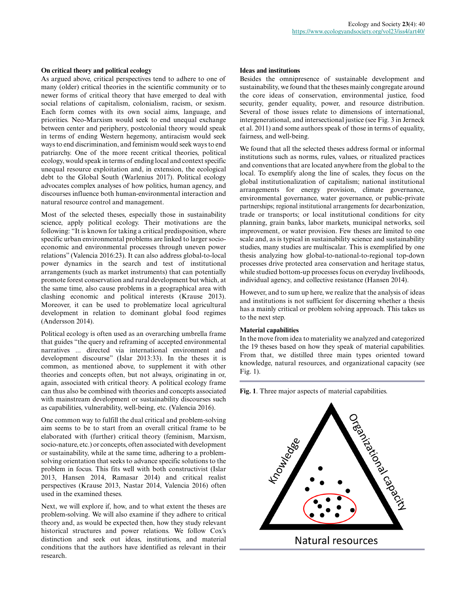# **On critical theory and political ecology**

As argued above, critical perspectives tend to adhere to one of many (older) critical theories in the scientific community or to newer forms of critical theory that have emerged to deal with social relations of capitalism, colonialism, racism, or sexism. Each form comes with its own social aims, language, and priorities. Neo-Marxism would seek to end unequal exchange between center and periphery, postcolonial theory would speak in terms of ending Western hegemony, antiracism would seek ways to end discrimination, and feminism would seek ways to end patriarchy. One of the more recent critical theories, political ecology, would speak in terms of ending local and context specific unequal resource exploitation and, in extension, the ecological debt to the Global South (Warlenius 2017). Political ecology advocates complex analyses of how politics, human agency, and discourses influence both human-environmental interaction and natural resource control and management.

Most of the selected theses, especially those in sustainability science, apply political ecology. Their motivations are the following: "It is known for taking a critical predisposition, where specific urban environmental problems are linked to larger socioeconomic and environmental processes through uneven power relations" (Valencia 2016:23). It can also address global-to-local power dynamics in the search and test of institutional arrangements (such as market instruments) that can potentially promote forest conservation and rural development but which, at the same time, also cause problems in a geographical area with clashing economic and political interests (Krause 2013). Moreover, it can be used to problematize local agricultural development in relation to dominant global food regimes (Andersson 2014).

Political ecology is often used as an overarching umbrella frame that guides "the query and reframing of accepted environmental narratives ... directed via international environment and development discourse" (Islar 2013:33). In the theses it is common, as mentioned above, to supplement it with other theories and concepts often, but not always, originating in or, again, associated with critical theory. A political ecology frame can thus also be combined with theories and concepts associated with mainstream development or sustainability discourses such as capabilities, vulnerability, well-being, etc. (Valencia 2016).

One common way to fulfill the dual critical and problem-solving aim seems to be to start from an overall critical frame to be elaborated with (further) critical theory (feminism, Marxism, socio-nature, etc.) or concepts, often associated with development or sustainability, while at the same time, adhering to a problemsolving orientation that seeks to advance specific solutions to the problem in focus. This fits well with both constructivist (Islar 2013, Hansen 2014, Ramasar 2014) and critical realist perspectives (Krause 2013, Nastar 2014, Valencia 2016) often used in the examined theses.

Next, we will explore if, how, and to what extent the theses are problem-solving. We will also examine if they adhere to critical theory and, as would be expected then, how they study relevant historical structures and power relations. We follow Cox's distinction and seek out ideas, institutions, and material conditions that the authors have identified as relevant in their research.

# **Ideas and institutions**

Besides the omnipresence of sustainable development and sustainability, we found that the theses mainly congregate around the core ideas of conservation, environmental justice, food security, gender equality, power, and resource distribution. Several of those issues relate to dimensions of international, intergenerational, and intersectional justice (see Fig. 3 in Jerneck et al. 2011) and some authors speak of those in terms of equality, fairness, and well-being.

We found that all the selected theses address formal or informal institutions such as norms, rules, values, or ritualized practices and conventions that are located anywhere from the global to the local. To exemplify along the line of scales, they focus on the global institutionalization of capitalism; national institutional arrangements for energy provision, climate governance, environmental governance, water governance, or public-private partnerships; regional institutional arrangements for decarbonization, trade or transports; or local institutional conditions for city planning, grain banks, labor markets, municipal networks, soil improvement, or water provision. Few theses are limited to one scale and, as is typical in sustainability science and sustainability studies, many studies are multiscalar. This is exemplified by one thesis analyzing how global-to-national-to-regional top-down processes drive protected area conservation and heritage status, while studied bottom-up processes focus on everyday livelihoods, individual agency, and collective resistance (Hansen 2014).

However, and to sum up here, we realize that the analysis of ideas and institutions is not sufficient for discerning whether a thesis has a mainly critical or problem solving approach. This takes us to the next step.

#### **Material capabilities**

In the move from idea to materiality we analyzed and categorized the 19 theses based on how they speak of material capabilities. From that, we distilled three main types oriented toward knowledge, natural resources, and organizational capacity (see Fig. 1).



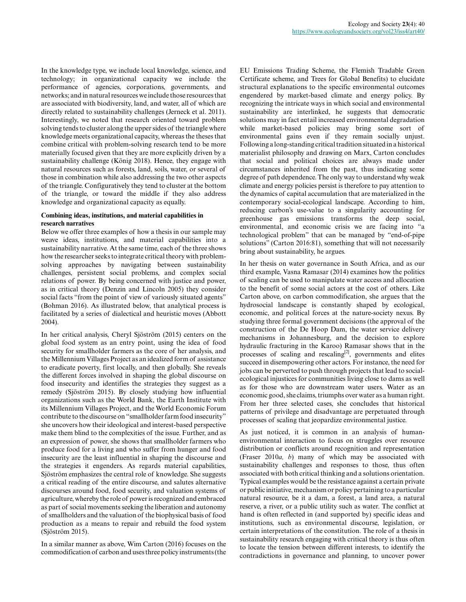In the knowledge type, we include local knowledge, science, and technology; in organizational capacity we include the performance of agencies, corporations, governments, and networks; and in natural resources we include those resources that are associated with biodiversity, land, and water, all of which are directly related to sustainability challenges (Jerneck et al. 2011). Interestingly, we noted that research oriented toward problem solving tends to cluster along the upper sides of the triangle where knowledge meets organizational capacity, whereas the theses that combine critical with problem-solving research tend to be more materially focused given that they are more explicitly driven by a sustainability challenge (König 2018). Hence, they engage with natural resources such as forests, land, soils, water, or several of those in combination while also addressing the two other aspects of the triangle. Configuratively they tend to cluster at the bottom of the triangle, or toward the middle if they also address knowledge and organizational capacity as equally.

# **Combining ideas, institutions, and material capabilities in research narratives**

Below we offer three examples of how a thesis in our sample may weave ideas, institutions, and material capabilities into a sustainability narrative. At the same time, each of the three shows how the researcher seeks to integrate critical theory with problemsolving approaches by navigating between sustainability challenges, persistent social problems, and complex social relations of power. By being concerned with justice and power, as in critical theory (Denzin and Lincoln 2005) they consider social facts "from the point of view of variously situated agents" (Bohman 2016). As illustrated below, that analytical process is facilitated by a series of dialectical and heuristic moves (Abbott 2004).

In her critical analysis, Cheryl Sjöström (2015) centers on the global food system as an entry point, using the idea of food security for smallholder farmers as the core of her analysis, and the Millennium Villages Project as an idealized form of assistance to eradicate poverty, first locally, and then globally. She reveals the different forces involved in shaping the global discourse on food insecurity and identifies the strategies they suggest as a remedy (Sjöström 2015). By closely studying how influential organizations such as the World Bank, the Earth Institute with its Millennium Villages Project, and the World Economic Forum contribute to the discourse on "smallholder farm food insecurity" she uncovers how their ideological and interest-based perspective make them blind to the complexities of the issue. Further, and as an expression of power, she shows that smallholder farmers who produce food for a living and who suffer from hunger and food insecurity are the least influential in shaping the discourse and the strategies it engenders. As regards material capabilities, Sjöström emphasizes the central role of knowledge. She suggests a critical reading of the entire discourse, and salutes alternative discourses around food, food security, and valuation systems of agriculture, whereby the role of power is recognized and embraced as part of social movements seeking the liberation and autonomy of smallholders and the valuation of the biophysical basis of food production as a means to repair and rebuild the food system (Sjöström 2015).

In a similar manner as above, Wim Carton (2016) focuses on the commodification of carbon and uses three policy instruments (the

EU Emissions Trading Scheme, the Flemish Tradable Green Certificate scheme, and Trees for Global Benefits) to elucidate structural explanations to the specific environmental outcomes engendered by market-based climate and energy policy. By recognizing the intricate ways in which social and environmental sustainability are interlinked, he suggests that democratic solutions may in fact entail increased environmental degradation while market-based policies may bring some sort of environmental gains even if they remain socially unjust. Following a long-standing critical tradition situated in a historical materialist philosophy and drawing on Marx, Carton concludes that social and political choices are always made under circumstances inherited from the past, thus indicating some degree of path dependence. The only way to understand why weak climate and energy policies persist is therefore to pay attention to the dynamics of capital accumulation that are materialized in the contemporary social-ecological landscape. According to him, reducing carbon's use-value to a singularity accounting for greenhouse gas emissions transforms the deep social, environmental, and economic crisis we are facing into "a technological problem" that can be managed by "end-of-pipe solutions" (Carton 2016:81), something that will not necessarily bring about sustainability, he argues.

In her thesis on water governance in South Africa, and as our third example, Vasna Ramasar (2014) examines how the politics of scaling can be used to manipulate water access and allocation to the benefit of some social actors at the cost of others. Like Carton above, on carbon commodification, she argues that the hydrosocial landscape is constantly shaped by ecological, economic, and political forces at the nature-society nexus. By studying three formal government decisions (the approval of the construction of the De Hoop Dam, the water service delivery mechanisms in Johannesburg, and the decision to explore hydraulic fracturing in the Karoo) Ramasar shows that in the processes of scaling and rescaling<sup>[2]</sup>, governments and elites succeed in disempowering other actors. For instance, the need for jobs can be perverted to push through projects that lead to socialecological injustices for communities living close to dams as well as for those who are downstream water users. Water as an economic good, she claims, triumphs over water as a human right. From her three selected cases, she concludes that historical patterns of privilege and disadvantage are perpetuated through processes of scaling that jeopardize environmental justice.

As just noticed, it is common in an analysis of humanenvironmental interaction to focus on struggles over resource distribution or conflicts around recognition and representation (Fraser 2010*a, b*) many of which may be associated with sustainability challenges and responses to those, thus often associated with both critical thinking and a solutions orientation. Typical examples would be the resistance against a certain private or public initiative, mechanism or policy pertaining to a particular natural resource, be it a dam, a forest, a land area, a natural reserve, a river, or a public utility such as water. The conflict at hand is often reflected in (and supported by) specific ideas and institutions, such as environmental discourse, legislation, or certain interpretations of the constitution. The role of a thesis in sustainability research engaging with critical theory is thus often to locate the tension between different interests, to identify the contradictions in governance and planning, to uncover power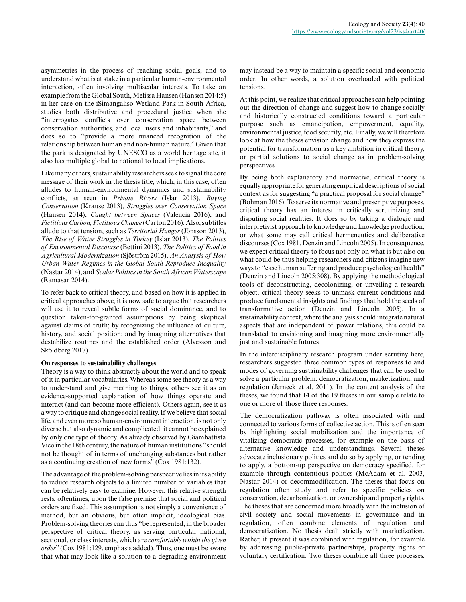asymmetries in the process of reaching social goals, and to understand what is at stake in a particular human-environmental interaction, often involving multiscalar interests. To take an example from the Global South, Melissa Hansen (Hansen 2014:5) in her case on the iSimangaliso Wetland Park in South Africa, studies both distributive and procedural justice when she "interrogates conflicts over conservation space between conservation authorities, and local users and inhabitants," and does so to "provide a more nuanced recognition of the relationship between human and non-human nature." Given that the park is designated by UNESCO as a world heritage site, it also has multiple global to national to local implications.

Like many others, sustainability researchers seek to signal the core message of their work in the thesis title, which, in this case, often alludes to human-environmental dynamics and sustainability conflicts, as seen in *Private Rivers* (Islar 2013), *Buying Conservation* (Krause 2013), *Struggles over Conservation Space* (Hansen 2014), *Caught between Spaces* (Valencia 2016), and *Fictitious Carbon, Fictitious Change* (Carton 2016). Also, subtitles allude to that tension, such as *Territorial Hunger* (Jönsson 2013), *The Rise of Water Struggles in Turkey* (Islar 2013), *The Politics of Environmental Discourse* (Bettini 2013), *The Politics of Food in Agricultural Modernization* (Sjöström 2015), *An Analysis of How Urban Water Regimes in the Global South Reproduce Inequality* (Nastar 2014), and *Scalar Politics in the South African Waterscape* (Ramasar 2014).

To refer back to critical theory, and based on how it is applied in critical approaches above, it is now safe to argue that researchers will use it to reveal subtle forms of social dominance, and to question taken-for-granted assumptions by being skeptical against claims of truth; by recognizing the influence of culture, history, and social position; and by imagining alternatives that destabilize routines and the established order (Alvesson and Sköldberg 2017).

### **On responses to sustainability challenges**

Theory is a way to think abstractly about the world and to speak of it in particular vocabularies. Whereas some see theory as a way to understand and give meaning to things, others see it as an evidence-supported explanation of how things operate and interact (and can become more efficient). Others again, see it as a way to critique and change social reality. If we believe that social life, and even more so human-environment interaction, is not only diverse but also dynamic and complicated, it cannot be explained by only one type of theory. As already observed by Giambattista Vico in the 18th century, the nature of human institutions "should not be thought of in terms of unchanging substances but rather as a continuing creation of new forms" (Cox 1981:132).

The advantage of the problem-solving perspective lies in its ability to reduce research objects to a limited number of variables that can be relatively easy to examine. However, this relative strength rests, oftentimes, upon the false premise that social and political orders are fixed. This assumption is not simply a convenience of method, but an obvious, but often implicit, ideological bias. Problem-solving theories can thus "be represented, in the broader perspective of critical theory, as serving particular national, sectional, or class interests, which are *comfortable within the given order*" (Cox 1981:129, emphasis added). Thus, one must be aware that what may look like a solution to a degrading environment

may instead be a way to maintain a specific social and economic order. In other words, a solution overloaded with political tensions.

At this point, we realize that critical approaches can help pointing out the direction of change and suggest how to change socially and historically constructed conditions toward a particular purpose such as emancipation, empowerment, equality, environmental justice, food security, etc. Finally, we will therefore look at how the theses envision change and how they express the potential for transformation as a key ambition in critical theory, or partial solutions to social change as in problem-solving perspectives.

By being both explanatory and normative, critical theory is equally appropriate for generating empirical descriptions of social context as for suggesting "a practical proposal for social change" (Bohman 2016). To serve its normative and prescriptive purposes, critical theory has an interest in critically scrutinizing and disputing social realities. It does so by taking a dialogic and interpretivist approach to knowledge and knowledge production, or what some may call critical hermeneutics and deliberative discourses (Cox 1981, Denzin and Lincoln 2005). In consequence, we expect critical theory to focus not only on what is but also on what could be thus helping researchers and citizens imagine new ways to "ease human suffering and produce psychological health" (Denzin and Lincoln 2005:308). By applying the methodological tools of deconstructing, decolonizing, or unveiling a research object, critical theory seeks to unmask current conditions and produce fundamental insights and findings that hold the seeds of transformative action (Denzin and Lincoln 2005). In a sustainability context, where the analysis should integrate natural aspects that are independent of power relations, this could be translated to envisioning and imagining more environmentally just and sustainable futures.

In the interdisciplinary research program under scrutiny here, researchers suggested three common types of responses to and modes of governing sustainability challenges that can be used to solve a particular problem: democratization, marketization, and regulation (Jerneck et al. 2011). In the content analysis of the theses, we found that 14 of the 19 theses in our sample relate to one or more of those three responses.

The democratization pathway is often associated with and connected to various forms of collective action. This is often seen by highlighting social mobilization and the importance of vitalizing democratic processes, for example on the basis of alternative knowledge and understandings. Several theses advocate inclusionary politics and do so by applying, or tending to apply, a bottom-up perspective on democracy specified, for example through contentious politics (McAdam et al. 2003, Nastar 2014) or decommodification. The theses that focus on regulation often study and refer to specific policies on conservation, decarbonization, or ownership and property rights. The theses that are concerned more broadly with the inclusion of civil society and social movements in governance and in regulation, often combine elements of regulation and democratization. No thesis dealt strictly with marketization. Rather, if present it was combined with regulation, for example by addressing public-private partnerships, property rights or voluntary certification. Two theses combine all three processes.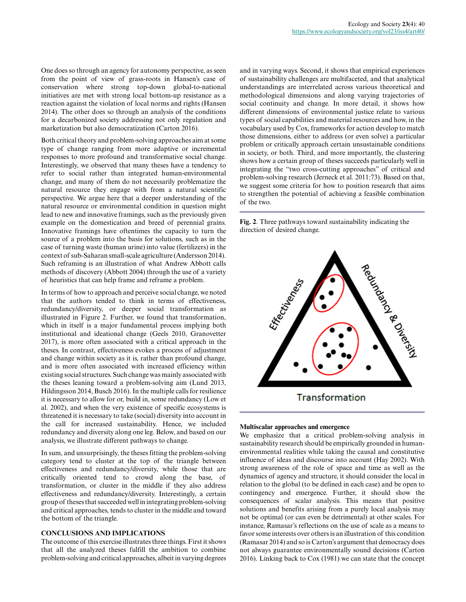One does so through an agency for autonomy perspective, as seen from the point of view of grass-roots in Hansen's case of conservation where strong top-down global-to-national initiatives are met with strong local bottom-up resistance as a reaction against the violation of local norms and rights (Hansen 2014). The other does so through an analysis of the conditions for a decarbonized society addressing not only regulation and marketization but also democratization (Carton 2016).

Both critical theory and problem-solving approaches aim at some type of change ranging from more adaptive or incremental responses to more profound and transformative social change. Interestingly, we observed that many theses have a tendency to refer to social rather than integrated human-environmental change, and many of them do not necessarily problematize the natural resource they engage with from a natural scientific perspective. We argue here that a deeper understanding of the natural resource or environmental condition in question might lead to new and innovative framings, such as the previously given example on the domestication and breed of perennial grains. Innovative framings have oftentimes the capacity to turn the source of a problem into the basis for solutions, such as in the case of turning waste (human urine) into value (fertilizers) in the context of sub-Saharan small-scale agriculture (Andersson 2014). Such reframing is an illustration of what Andrew Abbott calls methods of discovery (Abbott 2004) through the use of a variety of heuristics that can help frame and reframe a problem.

In terms of how to approach and perceive social change, we noted that the authors tended to think in terms of effectiveness, redundancy/diversity, or deeper social transformation as illustrated in Figure 2. Further, we found that transformation, which in itself is a major fundamental process implying both institutional and ideational change (Geels 2010, Granovetter 2017), is more often associated with a critical approach in the theses. In contrast, effectiveness evokes a process of adjustment and change within society as it is, rather than profound change, and is more often associated with increased efficiency within existing social structures. Such change was mainly associated with the theses leaning toward a problem-solving aim (Lund 2013, Hildingsson 2014, Busch 2016). In the multiple calls for resilience it is necessary to allow for or, build in, some redundancy (Low et al. 2002), and when the very existence of specific ecosystems is threatened it is necessary to take (social) diversity into account in the call for increased sustainability. Hence, we included redundancy and diversity along one leg. Below, and based on our analysis, we illustrate different pathways to change.

In sum, and unsurprisingly, the theses fitting the problem-solving category tend to cluster at the top of the triangle between effectiveness and redundancy/diversity, while those that are critically oriented tend to crowd along the base, of transformation, or cluster in the middle if they also address effectiveness and redundancy/diversity. Interestingly, a certain group of theses that succeeded well in integrating problem-solving and critical approaches, tends to cluster in the middle and toward the bottom of the triangle.

# **CONCLUSIONS AND IMPLICATIONS**

The outcome of this exercise illustrates three things. First it shows that all the analyzed theses fulfill the ambition to combine problem-solving and critical approaches, albeit in varying degrees and in varying ways. Second, it shows that empirical experiences of sustainability challenges are multifaceted, and that analytical understandings are interrelated across various theoretical and methodological dimensions and along varying trajectories of social continuity and change. In more detail, it shows how different dimensions of environmental justice relate to various types of social capabilities and material resources and how, in the vocabulary used by Cox, frameworks for action develop to match those dimensions, either to address (or even solve) a particular problem or critically approach certain unsustainable conditions in society, or both. Third, and more importantly, the clustering shows how a certain group of theses succeeds particularly well in integrating the "two cross-cutting approaches" of critical and problem-solving research (Jerneck et al. 2011:73). Based on that, we suggest some criteria for how to position research that aims to strengthen the potential of achieving a feasible combination of the two.

**Fig. 2**. Three pathways toward sustainability indicating the direction of desired change.



#### **Multiscalar approaches and emergence**

We emphasize that a critical problem-solving analysis in sustainability research should be empirically grounded in humanenvironmental realities while taking the causal and constitutive influence of ideas and discourse into account (Hay 2002). With strong awareness of the role of space and time as well as the dynamics of agency and structure, it should consider the local in relation to the global (to be defined in each case) and be open to contingency and emergence. Further, it should show the consequences of scalar analysis. This means that positive solutions and benefits arising from a purely local analysis may not be optimal (or can even be detrimental) at other scales. For instance, Ramasar's reflections on the use of scale as a means to favor some interests over others is an illustration of this condition (Ramasar 2014) and so is Carton's argument that democracy does not always guarantee environmentally sound decisions (Carton 2016). Linking back to Cox (1981) we can state that the concept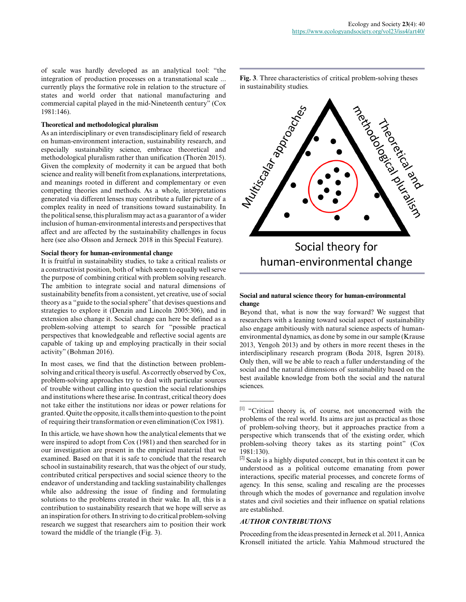of scale was hardly developed as an analytical tool: "the integration of production processes on a transnational scale ... currently plays the formative role in relation to the structure of states and world order that national manufacturing and commercial capital played in the mid-Nineteenth century" (Cox 1981:146).

# **Theoretical and methodological pluralism**

As an interdisciplinary or even transdisciplinary field of research on human-environment interaction, sustainability research, and especially sustainability science, embrace theoretical and methodological pluralism rather than unification (Thorén 2015). Given the complexity of modernity it can be argued that both science and reality will benefit from explanations, interpretations, and meanings rooted in different and complementary or even competing theories and methods. As a whole, interpretations generated via different lenses may contribute a fuller picture of a complex reality in need of transitions toward sustainability. In the political sense, this pluralism may act as a guarantor of a wider inclusion of human-environmental interests and perspectives that affect and are affected by the sustainability challenges in focus here (see also Olsson and Jerneck 2018 in this Special Feature).

# **Social theory for human-environmental change**

It is fruitful in sustainability studies, to take a critical realists or a constructivist position, both of which seem to equally well serve the purpose of combining critical with problem solving research. The ambition to integrate social and natural dimensions of sustainability benefits from a consistent, yet creative, use of social theory as a "guide to the social sphere" that devises questions and strategies to explore it (Denzin and Lincoln 2005:306), and in extension also change it. Social change can here be defined as a problem-solving attempt to search for "possible practical perspectives that knowledgeable and reflective social agents are capable of taking up and employing practically in their social activity" (Bohman 2016).

In most cases, we find that the distinction between problemsolving and critical theory is useful. As correctly observed by Cox, problem-solving approaches try to deal with particular sources of trouble without calling into question the social relationships and institutions where these arise. In contrast, critical theory does not take either the institutions nor ideas or power relations for granted. Quite the opposite, it calls them into question to the point of requiring their transformation or even elimination (Cox 1981).

In this article, we have shown how the analytical elements that we were inspired to adopt from Cox (1981) and then searched for in our investigation are present in the empirical material that we examined. Based on that it is safe to conclude that the research school in sustainability research, that was the object of our study, contributed critical perspectives and social science theory to the endeavor of understanding and tackling sustainability challenges while also addressing the issue of finding and formulating solutions to the problems created in their wake. In all, this is a contribution to sustainability research that we hope will serve as an inspiration for others. In striving to do critical problem-solving research we suggest that researchers aim to position their work toward the middle of the triangle (Fig. 3).

in sustainability studies.



# **Social and natural science theory for human-environmental change**

Beyond that, what is now the way forward? We suggest that researchers with a leaning toward social aspect of sustainability also engage ambitiously with natural science aspects of humanenvironmental dynamics, as done by some in our sample (Krause 2013, Yengoh 2013) and by others in more recent theses in the interdisciplinary research program (Boda 2018, Isgren 2018). Only then, will we be able to reach a fuller understanding of the social and the natural dimensions of sustainability based on the best available knowledge from both the social and the natural sciences.

#### *AUTHOR CONTRIBUTIONS*

 $\overline{\phantom{a}}$ 

Proceeding from the ideas presented in Jerneck et al. 2011, Annica Kronsell initiated the article. Yahia Mahmoud structured the

<sup>[1]</sup> "Critical theory is, of course, not unconcerned with the problems of the real world. Its aims are just as practical as those of problem-solving theory, but it approaches practice from a perspective which transcends that of the existing order, which problem-solving theory takes as its starting point" (Cox 1981:130).

 $^{[2]}$  Scale is a highly disputed concept, but in this context it can be understood as a political outcome emanating from power interactions, specific material processes, and concrete forms of agency. In this sense, scaling and rescaling are the processes through which the modes of governance and regulation involve states and civil societies and their influence on spatial relations are established.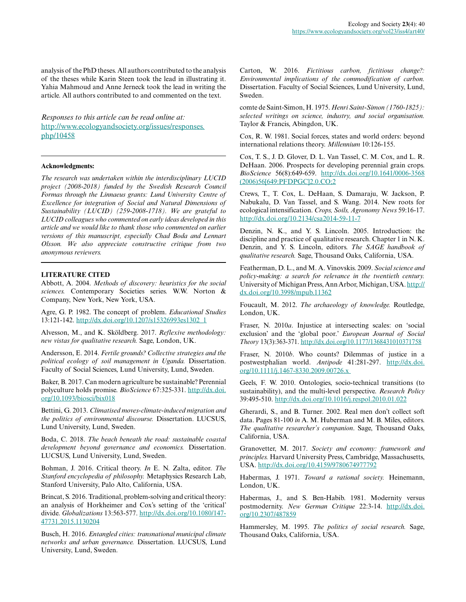analysis of the PhD theses. All authors contributed to the analysis of the theses while Karin Steen took the lead in illustrating it. Yahia Mahmoud and Anne Jerneck took the lead in writing the article. All authors contributed to and commented on the text.

*Responses to this article can be read online at:* [http://www.ecologyandsociety.org/issues/responses.](http://www.ecologyandsociety.org/issues/responses.php/10458) [php/10458](http://www.ecologyandsociety.org/issues/responses.php/10458)

#### **Acknowledgments:**

*The research was undertaken within the interdisciplinary LUCID project (2008-2018) funded by the Swedish Research Council Formas through the Linnaeus grants: Lund University Centre of Excellence for integration of Social and Natural Dimensions of Sustainability (LUCID) (259-2008-1718). We are grateful to LUCID colleagues who commented on early ideas developed in this article and we would like to thank those who commented on earlier versions of this manuscript, especially Chad Boda and Lennart Olsson. We also appreciate constructive critique from two anonymous reviewers.*

#### **LITERATURE CITED**

Abbott, A. 2004. *Methods of discovery: heuristics for the social sciences.* Contemporary Societies series. W.W. Norton & Company, New York, New York, USA.

Agre, G. P. 1982. The concept of problem. *Educational Studies* 13:121-142. [http://dx.doi.org/10.1207/s15326993es1302\\_1](http://dx.doi.org/10.1207%2Fs15326993es1302_1)

Alvesson, M., and K. Sköldberg. 2017. *Reflexive methodology: new vistas for qualitative research.* Sage, London, UK.

Andersson, E. 2014. *Fertile grounds? Collective strategies and the political ecology of soil management in Uganda.* Dissertation. Faculty of Social Sciences, Lund University, Lund, Sweden.

Baker, B. 2017. Can modern agriculture be sustainable? Perennial polyculture holds promise. *BioScience* 67:325-331. [http://dx.doi.](http://dx.doi.org/10.1093%2Fbiosci%2Fbix018) [org/10.1093/biosci/bix018](http://dx.doi.org/10.1093%2Fbiosci%2Fbix018)

Bettini, G. 2013. *Climatised moves-climate-induced migration and the politics of environmental discourse.* Dissertation. LUCSUS, Lund University, Lund, Sweden.

Boda, C. 2018. *The beach beneath the road: sustainable coastal development beyond governance and economics.* Dissertation. LUCSUS, Lund University, Lund, Sweden.

Bohman, J. 2016. Critical theory. *In* E. N. Zalta, editor. *The Stanford encyclopedia of philosophy.* Metaphysics Research Lab, Stanford University, Palo Alto, California, USA.

Brincat, S. 2016. Traditional, problem-solving and critical theory: an analysis of Horkheimer and Cox's setting of the 'critical' divide. *Globalizations* 13:563-577. [http://dx.doi.org/10.1080/147](http://dx.doi.org/10.1080%2F14747731.2015.1130204) [47731.2015.1130204](http://dx.doi.org/10.1080%2F14747731.2015.1130204) 

Busch, H. 2016. *Entangled cities: transnational municipal climate networks and urban governance.* Dissertation. LUCSUS, Lund University, Lund, Sweden.

Carton, W. 2016. *Fictitious carbon, fictitious change?: Environmental implications of the commodification of carbon.* Dissertation. Faculty of Social Sciences, Lund University, Lund, Sweden.

comte de Saint-Simon, H. 1975. *Henri Saint-Simon (1760-1825): selected writings on science, industry, and social organisation.* Taylor & Francis, Abingdon, UK.

Cox, R. W. 1981. Social forces, states and world orders: beyond international relations theory. *Millennium* 10:126-155.

Cox, T. S., J. D. Glover, D. L. Van Tassel, C. M. Cox, and L. R. DeHaan. 2006. Prospects for developing perennial grain crops. *BioScience* 56(8):649-659. [http://dx.doi.org/10.1641/0006-3568](http://dx.doi.org/10.1641%2F0006-3568%282006%2956%5B649%3APFDPGC%5D2.0.CO%3B2) [\(2006\)56\[649:PFDPGC\]2.0.CO;2](http://dx.doi.org/10.1641%2F0006-3568%282006%2956%5B649%3APFDPGC%5D2.0.CO%3B2)

Crews, T., T. Cox, L. DeHaan, S. Damaraju, W. Jackson, P. Nabukalu, D. Van Tassel, and S. Wang. 2014. New roots for ecological intensification. *Crops, Soils, Agronomy News* 59:16-17. [http://dx.doi.org/10.2134/csa2014-59-11-7](http://dx.doi.org/10.2134%2Fcsa2014-59-11-7) 

Denzin, N. K., and Y. S. Lincoln. 2005. Introduction: the discipline and practice of qualitative research. Chapter 1 in N. K. Denzin, and Y. S. Lincoln, editors. *The SAGE handbook of qualitative research.* Sage, Thousand Oaks, California, USA.

Featherman, D. L., and M. A. Vinovskis. 2009. *Social science and policy-making: a search for relevance in the twentieth century.* University of Michigan Press, Ann Arbor, Michigan, USA. [http://](http://dx.doi.org/10.3998%2Fmpub.11362) [dx.doi.org/10.3998/mpub.11362](http://dx.doi.org/10.3998%2Fmpub.11362) 

Foucault, M. 2012. *The archaeology of knowledge.* Routledge, London, UK.

Fraser, N. 2010*a*. Injustice at intersecting scales: on 'social exclusion' and the 'global poor.' *European Journal of Social Theory* 13(3):363-371.<http://dx.doi.org/10.1177/1368431010371758>

Fraser, N. 2010*b*. Who counts? Dilemmas of justice in a postwestphalian world. *Antipode* 41:281-297. [http://dx.doi.](http://dx.doi.org/10.1111/j.1467-8330.2009.00726.x ) [org/10.1111/j.1467-8330.2009.00726.x](http://dx.doi.org/10.1111/j.1467-8330.2009.00726.x ) 

Geels, F. W. 2010. Ontologies, socio-technical transitions (to sustainability), and the multi-level perspective. *Research Policy* 39:495-510. [http://dx.doi.org/10.1016/j.respol.2010.01.022](http://dx.doi.org/10.1016%2Fj.respol.2010.01.022)

Gherardi, S., and B. Turner. 2002. Real men don't collect soft data. Pages 81-100 *in* A. M. Huberman and M. B. Miles, editors. *The qualitative researcher's companion*. Sage, Thousand Oaks, California, USA.

Granovetter, M. 2017. *Society and economy: framework and principles.* Harvard University Press, Cambridge, Massachusetts, USA. [http://dx.doi.org/10.4159/9780674977792](http://dx.doi.org/10.4159%2F9780674977792) 

Habermas, J. 1971. *Toward a rational society.* Heinemann, London, UK.

Habermas, J., and S. Ben-Habib. 1981. Modernity versus postmodernity. *New German Critique* 22:3-14. [http://dx.doi.](http://dx.doi.org/10.2307%2F487859) [org/10.2307/487859](http://dx.doi.org/10.2307%2F487859)

Hammersley, M. 1995. *The politics of social research.* Sage, Thousand Oaks, California, USA.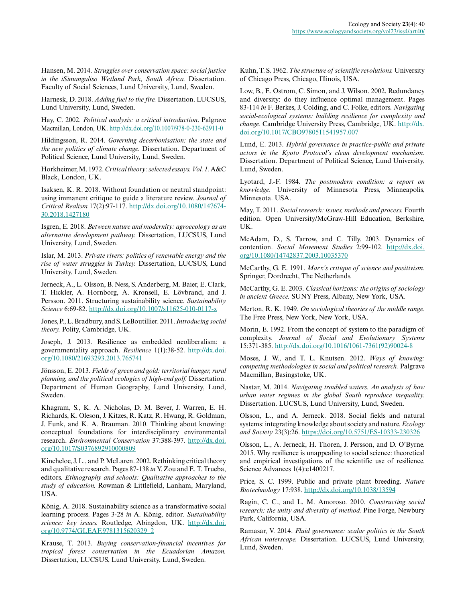Hansen, M. 2014. *Struggles over conservation space: social justice in the iSimangaliso Wetland Park, South Africa.* Dissertation. Faculty of Social Sciences, Lund University, Lund, Sweden.

Harnesk, D. 2018. *Adding fuel to the fire.* Dissertation. LUCSUS, Lund University, Lund, Sweden.

Hay, C. 2002. *Political analysis: a critical introduction*. Palgrave Macmillan, London, UK. [http://dx.doi.org/10.1007/978-0-230-62911-0](http://dx.doi.org/10.1007%2F978-0-230-62911-0)

Hildingsson, R. 2014. *Governing decarbonisation: the state and the new politics of climate change.* Dissertation. Department of Political Science, Lund University, Lund, Sweden.

Horkheimer, M. 1972. *Critical theory: selected essays. Vol. 1.* A&C Black, London, UK.

Isaksen, K. R. 2018. Without foundation or neutral standpoint: using immanent critique to guide a literature review. *Journal of Critical Realism* 17(2):97-117. [http://dx.doi.org/10.1080/147674](http://dx.doi.org/10.1080%2F14767430.2018.1427180) [30.2018.1427180](http://dx.doi.org/10.1080%2F14767430.2018.1427180)

Isgren, E. 2018. *Between nature and modernity: agroecology as an alternative development pathway.* Dissertation, LUCSUS, Lund University, Lund, Sweden.

Islar, M. 2013. *Private rivers: politics of renewable energy and the rise of water struggles in Turkey.* Dissertation, LUCSUS, Lund University, Lund, Sweden.

Jerneck, A., L. Olsson, B. Ness, S. Anderberg, M. Baier, E. Clark, T. Hickler, A. Hornborg, A. Kronsell, E. Lövbrand, and J. Persson. 2011. Structuring sustainability science. *Sustainability Science* 6:69-82. [http://dx.doi.org/10.1007/s11625-010-0117-x](http://dx.doi.org/10.1007%2Fs11625-010-0117-x)

Jones, P., L. Bradbury, and S. LeBoutillier. 2011. *Introducing social theory.* Polity, Cambridge, UK.

Joseph, J. 2013. Resilience as embedded neoliberalism: a governmentality approach. *Resilience* 1(1):38-52. [http://dx.doi.](http://dx.doi.org/10.1080%2F21693293.2013.765741) [org/10.1080/21693293.2013.765741](http://dx.doi.org/10.1080%2F21693293.2013.765741)

Jönsson, E. 2013. *Fields of green and gold: territorial hunger, rural planning, and the political ecologies of high-end golf.* Dissertation. Department of Human Geography, Lund University, Lund, Sweden.

Khagram, S., K. A. Nicholas, D. M. Bever, J. Warren, E. H. Richards, K. Oleson, J. Kitzes, R. Katz, R. Hwang, R. Goldman, J. Funk, and K. A. Brauman. 2010. Thinking about knowing: conceptual foundations for interdisciplinary environmental research. *Environmental Conservation* 37:388-397. [http://dx.doi.](http://dx.doi.org/10.1017%2FS0376892910000809) [org/10.1017/S0376892910000809](http://dx.doi.org/10.1017%2FS0376892910000809)

Kincheloe, J. L., and P. McLaren. 2002. Rethinking critical theory and qualitative research. Pages 87-138 *in* Y. Zou and E. T. Trueba, editors. *Ethnography and schools: Qualitative approaches to the study of education.* Rowman & Littlefield, Lanham, Maryland, USA.

König, A. 2018. Sustainability science as a transformative social learning process. Pages 3-28 *in* A. König, editor. *Sustainability science: key issues.* Routledge, Abingdon, UK. [http://dx.doi.](http://dx.doi.org/10.9774%2FGLEAF.9781315620329_2) [org/10.9774/GLEAF.9781315620329\\_2](http://dx.doi.org/10.9774%2FGLEAF.9781315620329_2)

Krause, T. 2013. *Buying conservation-financial incentives for tropical forest conservation in the Ecuadorian Amazon.* Dissertation, LUCSUS, Lund University, Lund, Sweden.

Kuhn, T. S. 1962. *The structure of scientific revolutions.* University of Chicago Press, Chicago, Illinois, USA.

Low, B., E. Ostrom, C. Simon, and J. Wilson. 2002. Redundancy and diversity: do they influence optimal management. Pages 83-114 *in* F. Berkes, J. Colding, and C. Folke, editors. *Navigating social-ecological systems: building resilience for complexity and change.* Cambridge University Press, Cambridge, UK. [http://dx.](http://dx.doi.org/10.1017%2FCBO9780511541957.007) [doi.org/10.1017/CBO9780511541957.007](http://dx.doi.org/10.1017%2FCBO9780511541957.007) 

Lund, E. 2013. *Hybrid governance in practice-public and private actors in the Kyoto Protocol's clean development mechanism.* Dissertation. Department of Political Science, Lund University, Lund, Sweden.

Lyotard, J.-F. 1984. *The postmodern condition: a report on knowledge.* University of Minnesota Press, Minneapolis, Minnesota. USA.

May, T. 2011. *Social research: issues, methods and process.* Fourth edition. Open University/McGraw-Hill Education, Berkshire, UK.

McAdam, D., S. Tarrow, and C. Tilly. 2003. Dynamics of contention. *Social Movement Studies* 2:99-102. [http://dx.doi.](http://dx.doi.org/10.1080%2F14742837.2003.10035370) [org/10.1080/14742837.2003.10035370](http://dx.doi.org/10.1080%2F14742837.2003.10035370)

McCarthy, G. E. 1991. *Marx's critique of science and positivism.* Springer, Dordrecht, The Netherlands.

McCarthy, G. E. 2003. *Classical horizons: the origins of sociology in ancient Greece.* SUNY Press, Albany, New York, USA.

Merton, R. K. 1949. *On sociological theories of the middle range.* The Free Press, New York, New York, USA.

Morin, E. 1992. From the concept of system to the paradigm of complexity. *Journal of Social and Evolutionary Systems* 15:371-385. [http://dx.doi.org/10.1016/1061-7361\(92\)90024-8](http://dx.doi.org/10.1016%2F1061-7361%2892%2990024-8)

Moses, J. W., and T. L. Knutsen. 2012. *Ways of knowing: competing methodologies in social and political research.* Palgrave Macmillan, Basingstoke, UK.

Nastar, M. 2014. *Navigating troubled waters. An analysis of how urban water regimes in the global South reproduce inequality.* Dissertation. LUCSUS, Lund University, Lund, Sweden.

Olsson, L., and A. Jerneck. 2018. Social fields and natural systems: integrating knowledge about society and nature. *Ecology and Society* 23(3):26.<https://doi.org/10.5751/ES-10333-230326>

Olsson, L., A. Jerneck, H. Thoren, J. Persson, and D. O'Byrne. 2015. Why resilience is unappealing to social science: theoretical and empirical investigations of the scientific use of resilience. Science Advances 1(4):e1400217.

Price, S. C. 1999. Public and private plant breeding. *Nature Biotechnology* 17:938. [http://dx.doi.org/10.1038/13594](http://dx.doi.org/10.1038%2F13594) 

Ragin, C. C., and L. M. Amoroso. 2010. *Constructing social research: the unity and diversity of method.* Pine Forge, Newbury Park, California, USA.

Ramasar, V. 2014. *Fluid governance: scalar politics in the South African waterscape.* Dissertation. LUCSUS, Lund University, Lund, Sweden.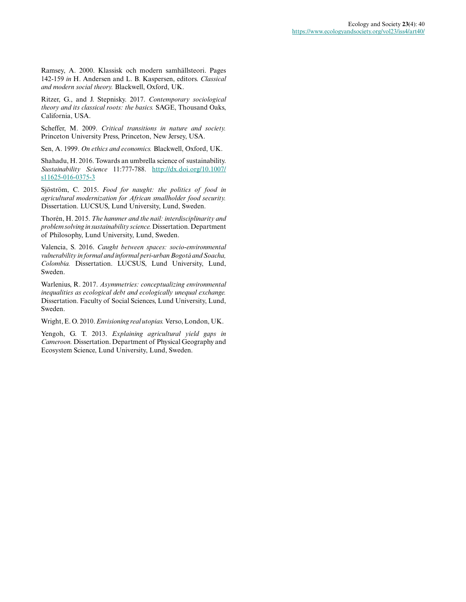Ramsey, A. 2000. Klassisk och modern samhällsteori. Pages 142-159 *in* H. Andersen and L. B. Kaspersen, editors. *Classical and modern social theory.* Blackwell, Oxford, UK.

Ritzer, G., and J. Stepnisky. 2017. *Contemporary sociological theory and its classical roots: the basics.* SAGE, Thousand Oaks, California, USA.

Scheffer, M. 2009. *Critical transitions in nature and society.* Princeton University Press, Princeton, New Jersey, USA.

Sen, A. 1999. *On ethics and economics.* Blackwell, Oxford, UK.

Shahadu, H. 2016. Towards an umbrella science of sustainability. *Sustainability Science* 11:777-788. [http://dx.doi.org/10.1007/](http://dx.doi.org/10.1007%2Fs11625-016-0375-3) s11625-016-0375-3

Sjöström, C. 2015. *Food for naught: the politics of food in agricultural modernization for African smallholder food security.* Dissertation. LUCSUS, Lund University, Lund, Sweden.

Thorén, H. 2015. *The hammer and the nail: interdisciplinarity and problem solving in sustainability science.* Dissertation. Department of Philosophy, Lund University, Lund, Sweden.

Valencia, S. 2016. *Caught between spaces: socio-environmental vulnerability in formal and informal peri-urban Bogotá and Soacha, Colombia.* Dissertation. LUCSUS, Lund University, Lund, Sweden.

Warlenius, R. 2017. *Asymmetries: conceptualizing environmental inequalities as ecological debt and ecologically unequal exchange.* Dissertation. Faculty of Social Sciences, Lund University, Lund, Sweden.

Wright, E. O. 2010. *Envisioning real utopias.* Verso, London, UK.

Yengoh, G. T. 2013. *Explaining agricultural yield gaps in Cameroon.* Dissertation. Department of Physical Geography and Ecosystem Science, Lund University, Lund, Sweden.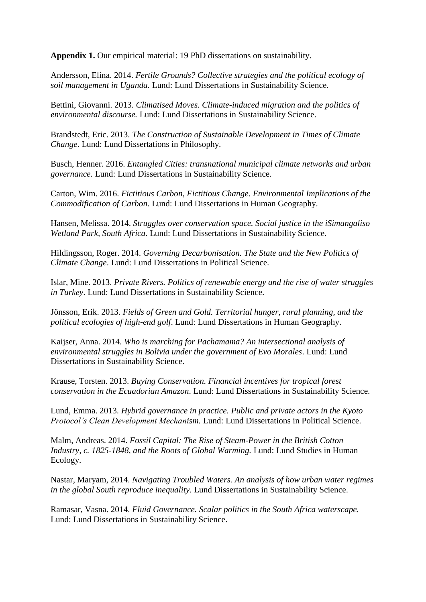**Appendix 1.** Our empirical material: 19 PhD dissertations on sustainability.

Andersson, Elina. 2014. *Fertile Grounds? Collective strategies and the political ecology of soil management in Uganda.* Lund: Lund Dissertations in Sustainability Science.

Bettini, Giovanni. 2013. *Climatised Moves. Climate-induced migration and the politics of environmental discourse.* Lund: Lund Dissertations in Sustainability Science.

Brandstedt, Eric. 2013. *The Construction of Sustainable Development in Times of Climate Change*. Lund: Lund Dissertations in Philosophy.

Busch, Henner. 2016. *Entangled Cities: transnational municipal climate networks and urban governance.* Lund: Lund Dissertations in Sustainability Science.

Carton, Wim. 2016. *Fictitious Carbon, Fictitious Change*. *Environmental Implications of the Commodification of Carbon*. Lund: Lund Dissertations in Human Geography.

Hansen, Melissa. 2014. *Struggles over conservation space. Social justice in the iSimangaliso Wetland Park, South Africa*. Lund: Lund Dissertations in Sustainability Science.

Hildingsson, Roger. 2014. *Governing Decarbonisation. The State and the New Politics of Climate Change*. Lund: Lund Dissertations in Political Science.

Islar, Mine. 2013. *Private Rivers. Politics of renewable energy and the rise of water struggles in Turkey*. Lund: Lund Dissertations in Sustainability Science.

Jönsson, Erik. 2013. *Fields of Green and Gold. Territorial hunger, rural planning, and the political ecologies of high-end golf*. Lund: Lund Dissertations in Human Geography.

Kaijser, Anna. 2014. *Who is marching for Pachamama? An intersectional analysis of environmental struggles in Bolivia under the government of Evo Morales*. Lund: Lund Dissertations in Sustainability Science.

Krause, Torsten. 2013. *Buying Conservation. Financial incentives for tropical forest conservation in the Ecuadorian Amazon*. Lund: Lund Dissertations in Sustainability Science.

Lund, Emma. 2013. *Hybrid governance in practice. Public and private actors in the Kyoto Protocol's Clean Development Mechanism.* Lund: Lund Dissertations in Political Science.

Malm, Andreas. 2014. *Fossil Capital: The Rise of Steam-Power in the British Cotton Industry, c. 1825-1848, and the Roots of Global Warming.* Lund: Lund Studies in Human Ecology.

Nastar, Maryam, 2014. *Navigating Troubled Waters. An analysis of how urban water regimes in the global South reproduce inequality.* Lund Dissertations in Sustainability Science.

Ramasar, Vasna. 2014. *Fluid Governance. Scalar politics in the South Africa waterscape.*  Lund: Lund Dissertations in Sustainability Science.